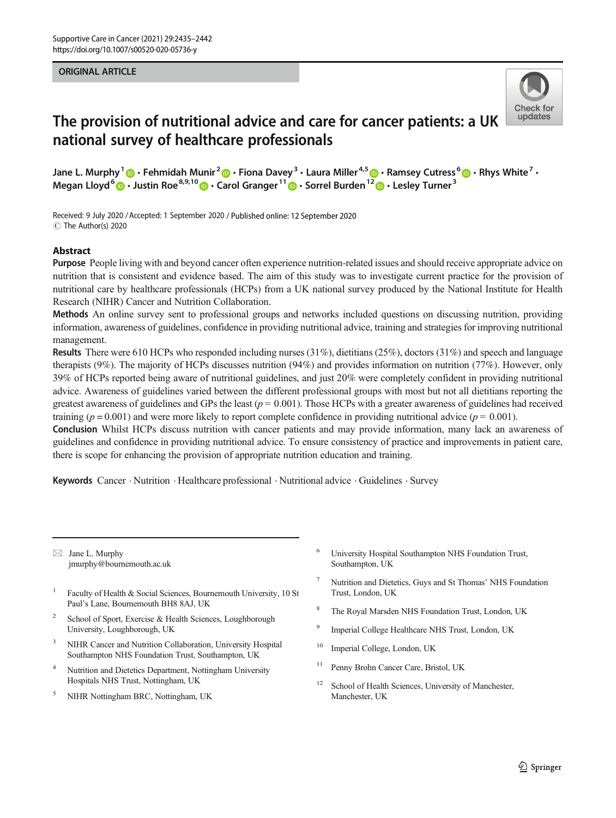#### ORIGINAL ARTICLE



# The provision of nutritional advice and care for cancer patients: a UK national survey of healthcare professionals

Jane L. Murphy<sup>1</sup>  $\cdot$  Fehmidah Munir<sup>2</sup>  $\cdot$  Fiona Davey<sup>3</sup>  $\cdot$  Laura Miller<sup>4,5</sup>  $\cdot$  Ramsey Cutress  $\cdot$   $\cdot$  Rhys White<sup>7</sup>  $\cdot$ Megan Lloyd<sup>6</sup>  $\cdot$  Justin Roe<sup>8,9,10</sup>  $\cdot$  Carol Granger<sup>11</sup>  $\cdot$  Sorrel Burden<sup>12</sup>  $\cdot$  Lesley Turner<sup>3</sup>

Received: 9 July 2020 /Accepted: 1 September 2020 / Published online: 12 September 2020 C The Author(s) 2020

#### Abstract

Purpose People living with and beyond cancer often experience nutrition-related issues and should receive appropriate advice on nutrition that is consistent and evidence based. The aim of this study was to investigate current practice for the provision of nutritional care by healthcare professionals (HCPs) from a UK national survey produced by the National Institute for Health Research (NIHR) Cancer and Nutrition Collaboration.

Methods An online survey sent to professional groups and networks included questions on discussing nutrition, providing information, awareness of guidelines, confidence in providing nutritional advice, training and strategies for improving nutritional management.

Results There were 610 HCPs who responded including nurses (31%), dietitians (25%), doctors (31%) and speech and language therapists (9%). The majority of HCPs discusses nutrition (94%) and provides information on nutrition (77%). However, only 39% of HCPs reported being aware of nutritional guidelines, and just 20% were completely confident in providing nutritional advice. Awareness of guidelines varied between the different professional groups with most but not all dietitians reporting the greatest awareness of guidelines and GPs the least ( $p = 0.001$ ). Those HCPs with a greater awareness of guidelines had received training ( $p = 0.001$ ) and were more likely to report complete confidence in providing nutritional advice ( $p = 0.001$ ). Conclusion Whilst HCPs discuss nutrition with cancer patients and may provide information, many lack an awareness of

guidelines and confidence in providing nutritional advice. To ensure consistency of practice and improvements in patient care, there is scope for enhancing the provision of appropriate nutrition education and training.

Keywords Cancer . Nutrition . Healthcare professional . Nutritional advice . Guidelines . Survey

 $\boxtimes$  Jane L. Murphy [jmurphy@bournemouth.ac.uk](mailto:jmurphy@bournemouth.ac.uk)

- <sup>1</sup> Faculty of Health & Social Sciences, Bournemouth University, 10 St Paul's Lane, Bournemouth BH8 8AJ, UK
- <sup>2</sup> School of Sport, Exercise & Health Sciences, Loughborough University, Loughborough, UK
- <sup>3</sup> NIHR Cancer and Nutrition Collaboration, University Hospital Southampton NHS Foundation Trust, Southampton, UK
- Nutrition and Dietetics Department, Nottingham University Hospitals NHS Trust, Nottingham, UK
- <sup>5</sup> NIHR Nottingham BRC, Nottingham, UK
- <sup>6</sup> University Hospital Southampton NHS Foundation Trust, Southampton, UK
- <sup>7</sup> Nutrition and Dietetics, Guys and St Thomas' NHS Foundation Trust, London, UK
- The Royal Marsden NHS Foundation Trust, London, UK
- <sup>9</sup> Imperial College Healthcare NHS Trust, London, UK
- <sup>10</sup> Imperial College, London, UK
- <sup>11</sup> Penny Brohn Cancer Care, Bristol, UK
- <sup>12</sup> School of Health Sciences, University of Manchester, Manchester, UK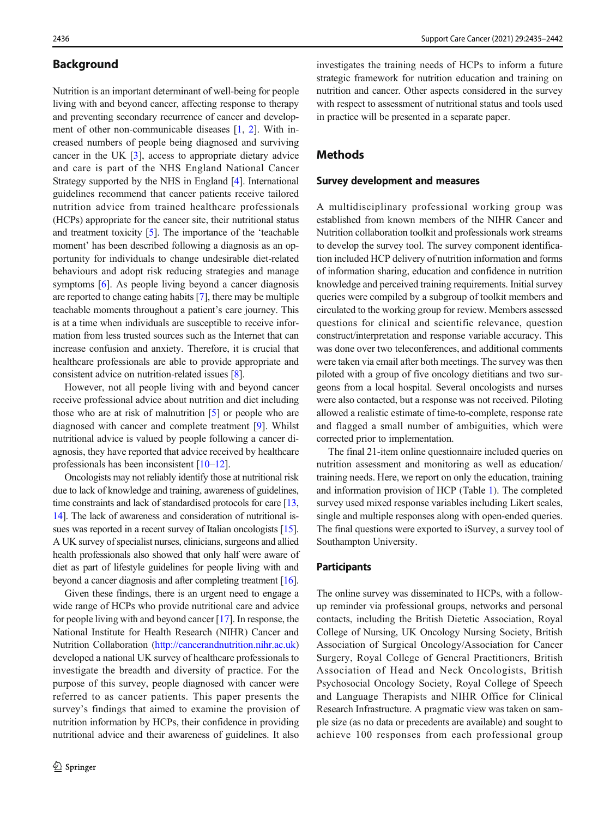# **Background**

Nutrition is an important determinant of well-being for people living with and beyond cancer, affecting response to therapy and preventing secondary recurrence of cancer and development of other non-communicable diseases [\[1](#page-6-0), [2](#page-6-0)]. With increased numbers of people being diagnosed and surviving cancer in the UK [\[3\]](#page-6-0), access to appropriate dietary advice and care is part of the NHS England National Cancer Strategy supported by the NHS in England [[4](#page-6-0)]. International guidelines recommend that cancer patients receive tailored nutrition advice from trained healthcare professionals (HCPs) appropriate for the cancer site, their nutritional status and treatment toxicity [\[5\]](#page-6-0). The importance of the 'teachable moment' has been described following a diagnosis as an opportunity for individuals to change undesirable diet-related behaviours and adopt risk reducing strategies and manage symptoms [\[6\]](#page-6-0). As people living beyond a cancer diagnosis are reported to change eating habits [[7\]](#page-6-0), there may be multiple teachable moments throughout a patient's care journey. This is at a time when individuals are susceptible to receive information from less trusted sources such as the Internet that can increase confusion and anxiety. Therefore, it is crucial that healthcare professionals are able to provide appropriate and consistent advice on nutrition-related issues [\[8](#page-6-0)].

However, not all people living with and beyond cancer receive professional advice about nutrition and diet including those who are at risk of malnutrition [[5](#page-6-0)] or people who are diagnosed with cancer and complete treatment [\[9](#page-6-0)]. Whilst nutritional advice is valued by people following a cancer diagnosis, they have reported that advice received by healthcare professionals has been inconsistent [\[10](#page-6-0)–[12](#page-7-0)].

Oncologists may not reliably identify those at nutritional risk due to lack of knowledge and training, awareness of guidelines, time constraints and lack of standardised protocols for care [\[13,](#page-7-0) [14\]](#page-7-0). The lack of awareness and consideration of nutritional issues was reported in a recent survey of Italian oncologists [\[15\]](#page-7-0). A UK survey of specialist nurses, clinicians, surgeons and allied health professionals also showed that only half were aware of diet as part of lifestyle guidelines for people living with and beyond a cancer diagnosis and after completing treatment [\[16\]](#page-7-0).

Given these findings, there is an urgent need to engage a wide range of HCPs who provide nutritional care and advice for people living with and beyond cancer [\[17\]](#page-7-0). In response, the National Institute for Health Research (NIHR) Cancer and Nutrition Collaboration ([http://cancerandnutrition.nihr.ac.uk\)](http://cancerandnutrition.nihr.ac.uk) developed a national UK survey of healthcare professionals to investigate the breadth and diversity of practice. For the purpose of this survey, people diagnosed with cancer were referred to as cancer patients. This paper presents the survey's findings that aimed to examine the provision of nutrition information by HCPs, their confidence in providing nutritional advice and their awareness of guidelines. It also

investigates the training needs of HCPs to inform a future strategic framework for nutrition education and training on nutrition and cancer. Other aspects considered in the survey with respect to assessment of nutritional status and tools used in practice will be presented in a separate paper.

## Methods

#### Survey development and measures

A multidisciplinary professional working group was established from known members of the NIHR Cancer and Nutrition collaboration toolkit and professionals work streams to develop the survey tool. The survey component identification included HCP delivery of nutrition information and forms of information sharing, education and confidence in nutrition knowledge and perceived training requirements. Initial survey queries were compiled by a subgroup of toolkit members and circulated to the working group for review. Members assessed questions for clinical and scientific relevance, question construct/interpretation and response variable accuracy. This was done over two teleconferences, and additional comments were taken via email after both meetings. The survey was then piloted with a group of five oncology dietitians and two surgeons from a local hospital. Several oncologists and nurses were also contacted, but a response was not received. Piloting allowed a realistic estimate of time-to-complete, response rate and flagged a small number of ambiguities, which were corrected prior to implementation.

The final 21-item online questionnaire included queries on nutrition assessment and monitoring as well as education/ training needs. Here, we report on only the education, training and information provision of HCP (Table [1](#page-2-0)). The completed survey used mixed response variables including Likert scales, single and multiple responses along with open-ended queries. The final questions were exported to iSurvey, a survey tool of Southampton University.

#### **Participants**

The online survey was disseminated to HCPs, with a followup reminder via professional groups, networks and personal contacts, including the British Dietetic Association, Royal College of Nursing, UK Oncology Nursing Society, British Association of Surgical Oncology/Association for Cancer Surgery, Royal College of General Practitioners, British Association of Head and Neck Oncologists, British Psychosocial Oncology Society, Royal College of Speech and Language Therapists and NIHR Office for Clinical Research Infrastructure. A pragmatic view was taken on sample size (as no data or precedents are available) and sought to achieve 100 responses from each professional group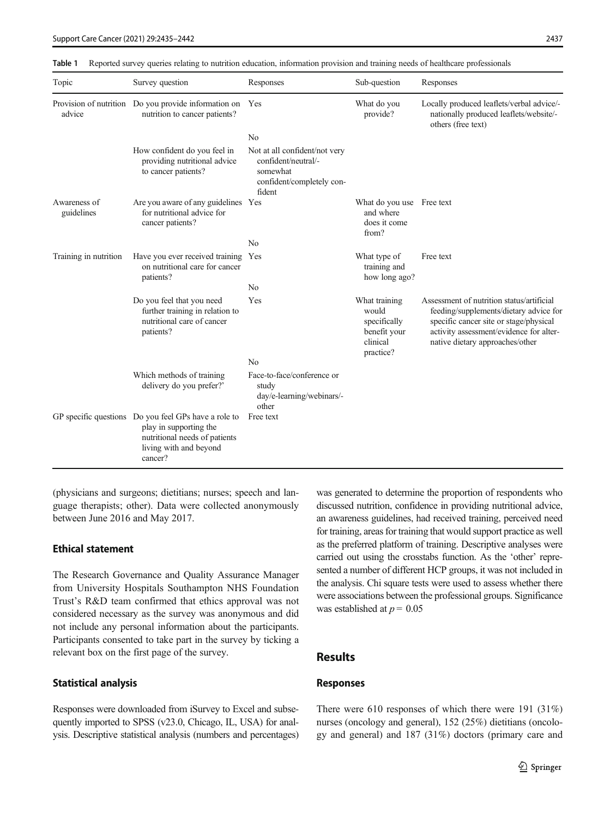| Topic                      | Survey question                                                                                                                                      | Responses                                                                                               | Sub-question                                                                    | Responses                                                                                                                                                                                                   |
|----------------------------|------------------------------------------------------------------------------------------------------------------------------------------------------|---------------------------------------------------------------------------------------------------------|---------------------------------------------------------------------------------|-------------------------------------------------------------------------------------------------------------------------------------------------------------------------------------------------------------|
| advice                     | Provision of nutrition Do you provide information on<br>nutrition to cancer patients?                                                                | Yes                                                                                                     | What do you<br>provide?                                                         | Locally produced leaflets/verbal advice/-<br>nationally produced leaflets/website/-<br>others (free text)                                                                                                   |
|                            |                                                                                                                                                      | No                                                                                                      |                                                                                 |                                                                                                                                                                                                             |
|                            | How confident do you feel in<br>providing nutritional advice<br>to cancer patients?                                                                  | Not at all confident/not very<br>confident/neutral/-<br>somewhat<br>confident/completely con-<br>fident |                                                                                 |                                                                                                                                                                                                             |
| Awareness of<br>guidelines | Are you aware of any guidelines Yes<br>for nutritional advice for<br>cancer patients?                                                                |                                                                                                         | What do you use Free text<br>and where<br>does it come<br>from?                 |                                                                                                                                                                                                             |
|                            |                                                                                                                                                      | N <sub>0</sub>                                                                                          |                                                                                 |                                                                                                                                                                                                             |
| Training in nutrition      | Have you ever received training Yes<br>on nutritional care for cancer<br>patients?                                                                   |                                                                                                         | What type of<br>training and<br>how long ago?                                   | Free text                                                                                                                                                                                                   |
|                            |                                                                                                                                                      | N <sub>0</sub>                                                                                          |                                                                                 |                                                                                                                                                                                                             |
|                            | Do you feel that you need<br>further training in relation to<br>nutritional care of cancer<br>patients?                                              | Yes                                                                                                     | What training<br>would<br>specifically<br>benefit your<br>clinical<br>practice? | Assessment of nutrition status/artificial<br>feeding/supplements/dietary advice for<br>specific cancer site or stage/physical<br>activity assessment/evidence for alter-<br>native dietary approaches/other |
|                            |                                                                                                                                                      | No                                                                                                      |                                                                                 |                                                                                                                                                                                                             |
|                            | Which methods of training<br>delivery do you prefer?'                                                                                                | Face-to-face/conference or<br>study<br>day/e-learning/webinars/-<br>other                               |                                                                                 |                                                                                                                                                                                                             |
|                            | GP specific questions Do you feel GPs have a role to<br>play in supporting the<br>nutritional needs of patients<br>living with and beyond<br>cancer? | Free text                                                                                               |                                                                                 |                                                                                                                                                                                                             |

<span id="page-2-0"></span>Table 1 Reported survey queries relating to nutrition education, information provision and training needs of healthcare professionals

(physicians and surgeons; dietitians; nurses; speech and language therapists; other). Data were collected anonymously between June 2016 and May 2017.

# Ethical statement

The Research Governance and Quality Assurance Manager from University Hospitals Southampton NHS Foundation Trust's R&D team confirmed that ethics approval was not considered necessary as the survey was anonymous and did not include any personal information about the participants. Participants consented to take part in the survey by ticking a relevant box on the first page of the survey.

#### Statistical analysis

Responses were downloaded from iSurvey to Excel and subsequently imported to SPSS (v23.0, Chicago, IL, USA) for analysis. Descriptive statistical analysis (numbers and percentages) was generated to determine the proportion of respondents who discussed nutrition, confidence in providing nutritional advice, an awareness guidelines, had received training, perceived need for training, areas for training that would support practice as well as the preferred platform of training. Descriptive analyses were carried out using the crosstabs function. As the 'other' represented a number of different HCP groups, it was not included in the analysis. Chi square tests were used to assess whether there were associations between the professional groups. Significance was established at  $p = 0.05$ 

# Results

#### Responses

There were 610 responses of which there were 191 (31%) nurses (oncology and general), 152 (25%) dietitians (oncology and general) and 187 (31%) doctors (primary care and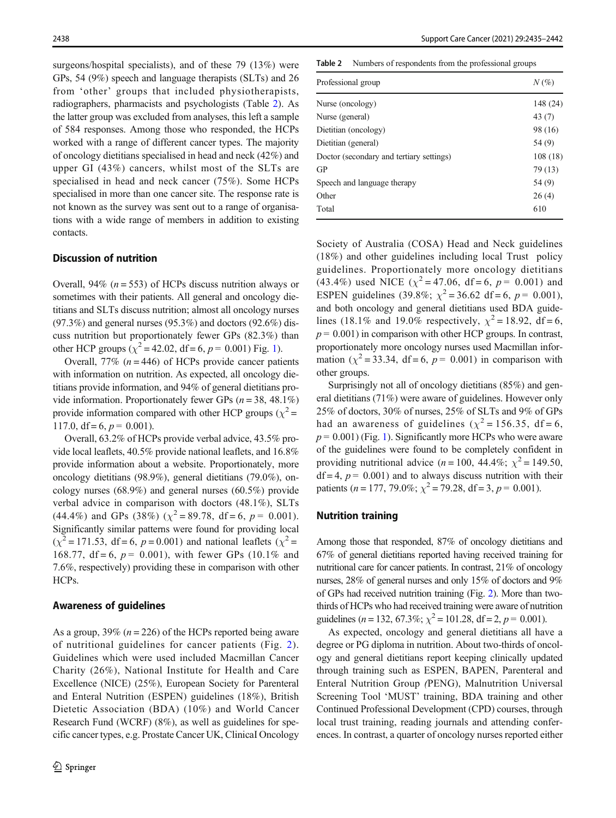surgeons/hospital specialists), and of these 79 (13%) were GPs, 54 (9%) speech and language therapists (SLTs) and 26 from 'other' groups that included physiotherapists, radiographers, pharmacists and psychologists (Table 2). As the latter group was excluded from analyses, this left a sample of 584 responses. Among those who responded, the HCPs worked with a range of different cancer types. The majority of oncology dietitians specialised in head and neck (42%) and upper GI (43%) cancers, whilst most of the SLTs are specialised in head and neck cancer (75%). Some HCPs specialised in more than one cancer site. The response rate is not known as the survey was sent out to a range of organisations with a wide range of members in addition to existing contacts.

## Discussion of nutrition

Overall, 94% ( $n = 553$ ) of HCPs discuss nutrition always or sometimes with their patients. All general and oncology dietitians and SLTs discuss nutrition; almost all oncology nurses  $(97.3\%)$  and general nurses  $(95.3\%)$  and doctors  $(92.6\%)$  discuss nutrition but proportionately fewer GPs (82.3%) than other HCP groups ( $\chi^2$  = 42.02, df = 6, p = 0.00[1\)](#page-4-0) Fig. 1).

Overall, 77% ( $n = 446$ ) of HCPs provide cancer patients with information on nutrition. As expected, all oncology dietitians provide information, and 94% of general dietitians provide information. Proportionately fewer GPs ( $n = 38, 48.1\%$ ) provide information compared with other HCP groups ( $\chi^2$  = 117.0, df = 6,  $p = 0.001$ ).

Overall, 63.2% of HCPs provide verbal advice, 43.5% provide local leaflets, 40.5% provide national leaflets, and 16.8% provide information about a website. Proportionately, more oncology dietitians (98.9%), general dietitians (79.0%), oncology nurses (68.9%) and general nurses (60.5%) provide verbal advice in comparison with doctors (48.1%), SLTs (44.4%) and GPs (38%) ( $\chi^2$  = 89.78, df = 6, p = 0.001). Significantly similar patterns were found for providing local  $(\chi^2 = 171.53, df = 6, p = 0.001)$  and national leaflets  $(\chi^2 = 171.53, df = 6.901)$ 168.77, df = 6,  $p = 0.001$ ), with fewer GPs (10.1% and 7.6%, respectively) providing these in comparison with other HCPs.

#### Awareness of guidelines

As a group,  $39\%$  ( $n = 226$ ) of the HCPs reported being aware of nutritional guidelines for cancer patients (Fig. [2\)](#page-4-0). Guidelines which were used included Macmillan Cancer Charity (26%), National Institute for Health and Care Excellence (NICE) (25%), European Society for Parenteral and Enteral Nutrition (ESPEN) guidelines (18%), British Dietetic Association (BDA) (10%) and World Cancer Research Fund (WCRF) (8%), as well as guidelines for specific cancer types, e.g. Prostate Cancer UK, ClinicaI Oncology Table 2 Numbers of respondents from the professional groups

| Professional group                       | $N(\%)$  |  |
|------------------------------------------|----------|--|
| Nurse (oncology)                         | 148 (24) |  |
| Nurse (general)                          | 43(7)    |  |
| Dietitian (oncology)                     | 98 (16)  |  |
| Dietitian (general)                      | 54 (9)   |  |
| Doctor (secondary and tertiary settings) | 108(18)  |  |
| GP                                       | 79 (13)  |  |
| Speech and language therapy              | 54 (9)   |  |
| Other                                    | 26(4)    |  |
| Total                                    | 610      |  |
|                                          |          |  |

Society of Australia (COSA) Head and Neck guidelines (18%) and other guidelines including local Trust policy guidelines. Proportionately more oncology dietitians (43.4%) used NICE ( $\chi^2$  = 47.06, df = 6, p = 0.001) and ESPEN guidelines (39.8%;  $\chi^2 = 36.62$  df = 6, p = 0.001), and both oncology and general dietitians used BDA guidelines (18.1% and 19.0% respectively,  $\chi^2 = 18.92$ , df = 6,  $p = 0.001$ ) in comparison with other HCP groups. In contrast, proportionately more oncology nurses used Macmillan information ( $\chi^2$  = 33.34, df = 6, p = 0.001) in comparison with other groups.

Surprisingly not all of oncology dietitians (85%) and general dietitians (71%) were aware of guidelines. However only 25% of doctors, 30% of nurses, 25% of SLTs and 9% of GPs had an awareness of guidelines ( $\chi^2$  = 156.35, df = 6,  $p = 0.001$ ) (Fig. [1\)](#page-4-0). Significantly more HCPs who were aware of the guidelines were found to be completely confident in providing nutritional advice ( $n = 100$ , 44.4%;  $\chi^2 = 149.50$ ,  $df = 4$ ,  $p = 0.001$ ) and to always discuss nutrition with their patients ( $n = 177, 79.0\%$ ;  $\chi^2 = 79.28$ , df = 3,  $p = 0.001$ ).

#### Nutrition training

Among those that responded, 87% of oncology dietitians and 67% of general dietitians reported having received training for nutritional care for cancer patients. In contrast, 21% of oncology nurses, 28% of general nurses and only 15% of doctors and 9% of GPs had received nutrition training (Fig. [2\)](#page-4-0). More than twothirds of HCPs who had received training were aware of nutrition guidelines (*n* = 132, 67.3%;  $\chi^2$  = 101.28, df = 2, *p* = 0.001).

As expected, oncology and general dietitians all have a degree or PG diploma in nutrition. About two-thirds of oncology and general dietitians report keeping clinically updated through training such as ESPEN, BAPEN, Parenteral and Enteral Nutrition Group (PENG), Malnutrition Universal Screening Tool 'MUST' training, BDA training and other Continued Professional Development (CPD) courses, through local trust training, reading journals and attending conferences. In contrast, a quarter of oncology nurses reported either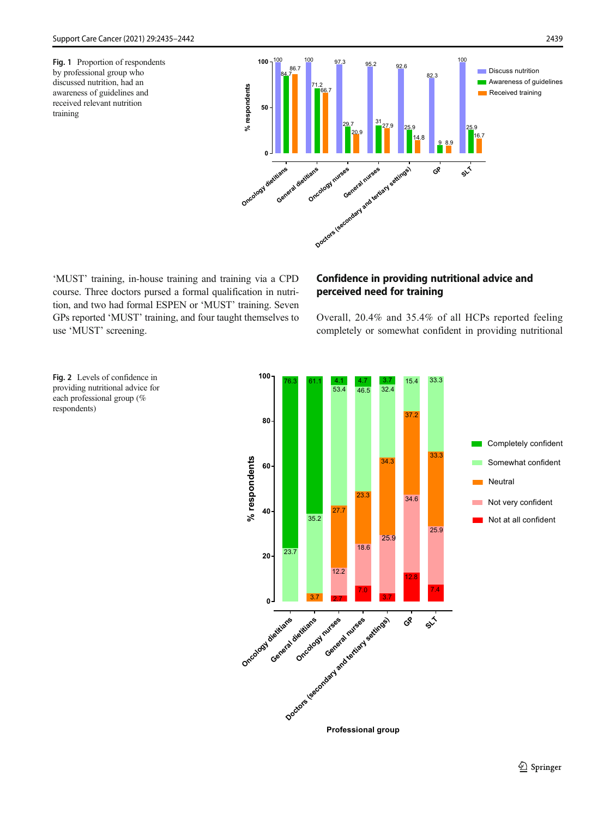<span id="page-4-0"></span>Fig. 1 Proportion of respondents by professional group who discussed nutrition, had an awareness of guidelines and received relevant nutrition training



'MUST' training, in-house training and training via a CPD course. Three doctors pursed a formal qualification in nutrition, and two had formal ESPEN or 'MUST' training. Seven GPs reported 'MUST' training, and four taught themselves to use 'MUST' screening.

# Confidence in providing nutritional advice and perceived need for training

Overall, 20.4% and 35.4% of all HCPs reported feeling completely or somewhat confident in providing nutritional



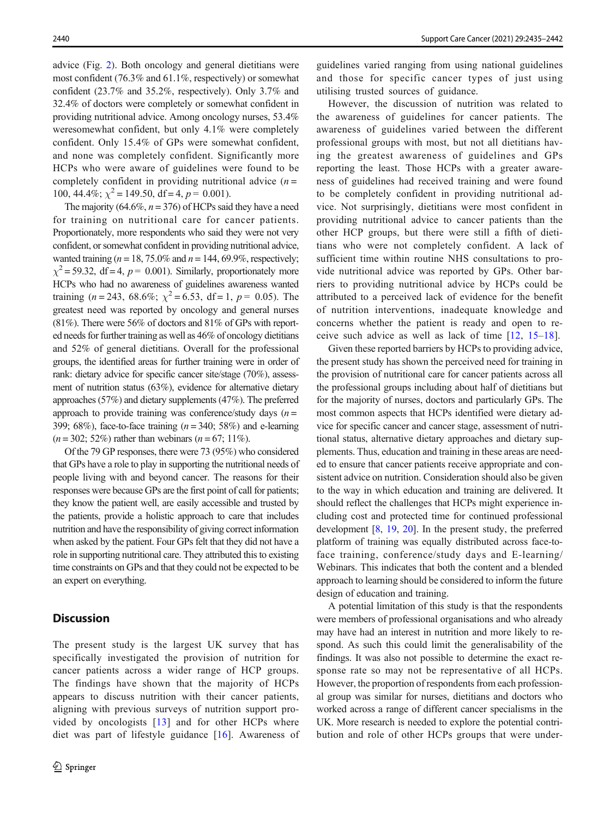advice (Fig. [2\)](#page-4-0). Both oncology and general dietitians were most confident (76.3% and 61.1%, respectively) or somewhat confident (23.7% and 35.2%, respectively). Only 3.7% and 32.4% of doctors were completely or somewhat confident in providing nutritional advice. Among oncology nurses, 53.4% weresomewhat confident, but only 4.1% were completely confident. Only 15.4% of GPs were somewhat confident, and none was completely confident. Significantly more HCPs who were aware of guidelines were found to be completely confident in providing nutritional advice  $(n =$ 100, 44.4%;  $\chi^2$  = 149.50, df = 4, p = 0.001).

The majority (64.6%,  $n = 376$ ) of HCPs said they have a need for training on nutritional care for cancer patients. Proportionately, more respondents who said they were not very confident, or somewhat confident in providing nutritional advice, wanted training ( $n = 18, 75.0\%$  and  $n = 144, 69.9\%$ , respectively;  $\chi^2$  = 59.32, df = 4, p = 0.001). Similarly, proportionately more HCPs who had no awareness of guidelines awareness wanted training (*n* = 243, 68.6%;  $\chi^2$  = 6.53, df = 1, *p* = 0.05). The greatest need was reported by oncology and general nurses (81%). There were 56% of doctors and 81% of GPs with reported needs for further training as well as 46% of oncology dietitians and 52% of general dietitians. Overall for the professional groups, the identified areas for further training were in order of rank: dietary advice for specific cancer site/stage (70%), assessment of nutrition status (63%), evidence for alternative dietary approaches (57%) and dietary supplements (47%). The preferred approach to provide training was conference/study days  $(n =$ 399; 68%), face-to-face training  $(n = 340; 58%)$  and e-learning  $(n = 302; 52\%)$  rather than webinars  $(n = 67; 11\%)$ .

Of the 79 GP responses, there were 73 (95%) who considered that GPs have a role to play in supporting the nutritional needs of people living with and beyond cancer. The reasons for their responses were because GPs are the first point of call for patients; they know the patient well, are easily accessible and trusted by the patients, provide a holistic approach to care that includes nutrition and have the responsibility of giving correct information when asked by the patient. Four GPs felt that they did not have a role in supporting nutritional care. They attributed this to existing time constraints on GPs and that they could not be expected to be an expert on everything.

#### **Discussion**

The present study is the largest UK survey that has specifically investigated the provision of nutrition for cancer patients across a wider range of HCP groups. The findings have shown that the majority of HCPs appears to discuss nutrition with their cancer patients, aligning with previous surveys of nutrition support provided by oncologists [\[13\]](#page-7-0) and for other HCPs where diet was part of lifestyle guidance [[16](#page-7-0)]. Awareness of

guidelines varied ranging from using national guidelines and those for specific cancer types of just using utilising trusted sources of guidance.

However, the discussion of nutrition was related to the awareness of guidelines for cancer patients. The awareness of guidelines varied between the different professional groups with most, but not all dietitians having the greatest awareness of guidelines and GPs reporting the least. Those HCPs with a greater awareness of guidelines had received training and were found to be completely confident in providing nutritional advice. Not surprisingly, dietitians were most confident in providing nutritional advice to cancer patients than the other HCP groups, but there were still a fifth of dietitians who were not completely confident. A lack of sufficient time within routine NHS consultations to provide nutritional advice was reported by GPs. Other barriers to providing nutritional advice by HCPs could be attributed to a perceived lack of evidence for the benefit of nutrition interventions, inadequate knowledge and concerns whether the patient is ready and open to receive such advice as well as lack of time [\[12,](#page-7-0) [15](#page-7-0)–[18](#page-7-0)].

Given these reported barriers by HCPs to providing advice, the present study has shown the perceived need for training in the provision of nutritional care for cancer patients across all the professional groups including about half of dietitians but for the majority of nurses, doctors and particularly GPs. The most common aspects that HCPs identified were dietary advice for specific cancer and cancer stage, assessment of nutritional status, alternative dietary approaches and dietary supplements. Thus, education and training in these areas are needed to ensure that cancer patients receive appropriate and consistent advice on nutrition. Consideration should also be given to the way in which education and training are delivered. It should reflect the challenges that HCPs might experience including cost and protected time for continued professional development [[8,](#page-6-0) [19,](#page-7-0) [20](#page-7-0)]. In the present study, the preferred platform of training was equally distributed across face-toface training, conference/study days and E-learning/ Webinars. This indicates that both the content and a blended approach to learning should be considered to inform the future design of education and training.

A potential limitation of this study is that the respondents were members of professional organisations and who already may have had an interest in nutrition and more likely to respond. As such this could limit the generalisability of the findings. It was also not possible to determine the exact response rate so may not be representative of all HCPs. However, the proportion of respondents from each professional group was similar for nurses, dietitians and doctors who worked across a range of different cancer specialisms in the UK. More research is needed to explore the potential contribution and role of other HCPs groups that were under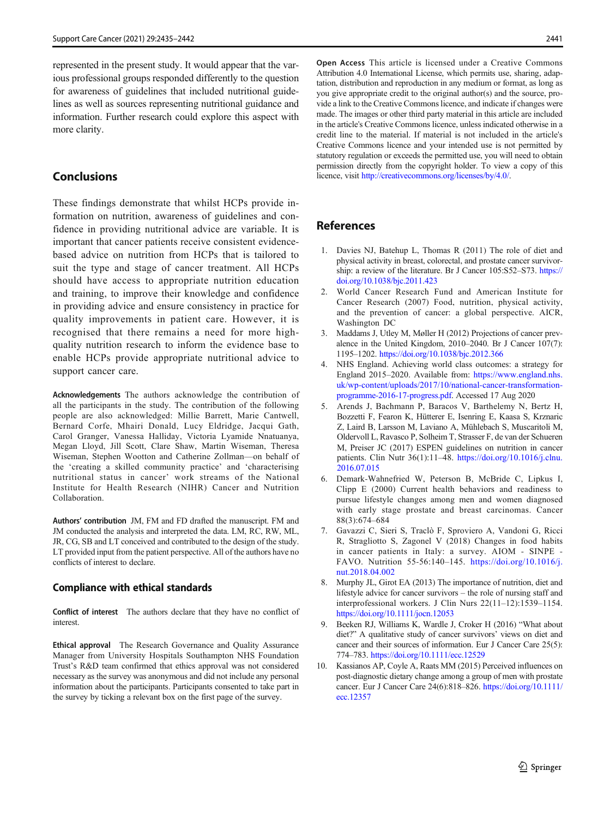<span id="page-6-0"></span>represented in the present study. It would appear that the various professional groups responded differently to the question for awareness of guidelines that included nutritional guidelines as well as sources representing nutritional guidance and information. Further research could explore this aspect with more clarity.

## Conclusions

These findings demonstrate that whilst HCPs provide information on nutrition, awareness of guidelines and confidence in providing nutritional advice are variable. It is important that cancer patients receive consistent evidencebased advice on nutrition from HCPs that is tailored to suit the type and stage of cancer treatment. All HCPs should have access to appropriate nutrition education and training, to improve their knowledge and confidence in providing advice and ensure consistency in practice for quality improvements in patient care. However, it is recognised that there remains a need for more highquality nutrition research to inform the evidence base to enable HCPs provide appropriate nutritional advice to support cancer care.

Acknowledgements The authors acknowledge the contribution of all the participants in the study. The contribution of the following people are also acknowledged: Millie Barrett, Marie Cantwell, Bernard Corfe, Mhairi Donald, Lucy Eldridge, Jacqui Gath, Carol Granger, Vanessa Halliday, Victoria Lyamide Nnatuanya, Megan Lloyd, Jill Scott, Clare Shaw, Martin Wiseman, Theresa Wiseman, Stephen Wootton and Catherine Zollman—on behalf of the 'creating a skilled community practice' and 'characterising nutritional status in cancer' work streams of the National Institute for Health Research (NIHR) Cancer and Nutrition Collaboration.

Authors' contribution JM, FM and FD drafted the manuscript. FM and JM conducted the analysis and interpreted the data. LM, RC, RW, ML, JR, CG, SB and LT conceived and contributed to the design of the study. LT provided input from the patient perspective. All of the authors have no conflicts of interest to declare.

#### Compliance with ethical standards

Conflict of interest The authors declare that they have no conflict of interest.

Ethical approval The Research Governance and Quality Assurance Manager from University Hospitals Southampton NHS Foundation Trust's R&D team confirmed that ethics approval was not considered necessary as the survey was anonymous and did not include any personal information about the participants. Participants consented to take part in the survey by ticking a relevant box on the first page of the survey.

Open Access This article is licensed under a Creative Commons Attribution 4.0 International License, which permits use, sharing, adaptation, distribution and reproduction in any medium or format, as long as you give appropriate credit to the original author(s) and the source, provide a link to the Creative Commons licence, and indicate if changes were made. The images or other third party material in this article are included in the article's Creative Commons licence, unless indicated otherwise in a credit line to the material. If material is not included in the article's Creative Commons licence and your intended use is not permitted by statutory regulation or exceeds the permitted use, you will need to obtain permission directly from the copyright holder. To view a copy of this licence, visit [http://creativecommons.org/licenses/by/4.0/](https://doi.org/).

# References

- 1. Davies NJ, Batehup L, Thomas R (2011) The role of diet and physical activity in breast, colorectal, and prostate cancer survivorship: a review of the literature. Br J Cancer 105:S52–S73. [https://](https://doi.org/10.1038/bjc.2011.423) [doi.org/10.1038/bjc.2011.423](https://doi.org/10.1038/bjc.2011.423)
- 2. World Cancer Research Fund and American Institute for Cancer Research (2007) Food, nutrition, physical activity, and the prevention of cancer: a global perspective. AICR, Washington DC
- 3. Maddams J, Utley M, Møller H (2012) Projections of cancer prevalence in the United Kingdom, 2010–2040. Br J Cancer 107(7): 1195–1202. <https://doi.org/10.1038/bjc.2012.366>
- 4. NHS England. Achieving world class outcomes: a strategy for England 2015–2020. Available from: [https://www.england.nhs.](https://www.england.nhs.uk/wpontent/uploads/2017/10/nationalancer-ransformation-rogramme-17-rogress.pdf) [uk/wp-content/uploads/2017/10/national-cancer-transformation](https://www.england.nhs.uk/wpontent/uploads/2017/10/nationalancer-ransformation-rogramme-17-rogress.pdf)[programme-2016-17-progress.pdf.](https://www.england.nhs.uk/wpontent/uploads/2017/10/nationalancer-ransformation-rogramme-17-rogress.pdf) Accessed 17 Aug 2020
- 5. Arends J, Bachmann P, Baracos V, Barthelemy N, Bertz H, Bozzetti F, Fearon K, Hütterer E, Isenring E, Kaasa S, Krznaric Z, Laird B, Larsson M, Laviano A, Mühlebach S, Muscaritoli M, Oldervoll L, Ravasco P, Solheim T, Strasser F, de van der Schueren M, Preiser JC (2017) ESPEN guidelines on nutrition in cancer patients. Clin Nutr 36(1):11–48. [https://doi.org/10.1016/j.clnu.](https://doi.org/10.1016/j.clnu.2016.07.015) [2016.07.015](https://doi.org/10.1016/j.clnu.2016.07.015)
- 6. Demark-Wahnefried W, Peterson B, McBride C, Lipkus I, Clipp E (2000) Current health behaviors and readiness to pursue lifestyle changes among men and women diagnosed with early stage prostate and breast carcinomas. Cancer 88(3):674–684
- 7. Gavazzi C, Sieri S, Traclò F, Sproviero A, Vandoni G, Ricci R, Stragliotto S, Zagonel V (2018) Changes in food habits in cancer patients in Italy: a survey. AIOM - SINPE - FAVO. Nutrition 55-56:140–145. [https://doi.org/10.1016/j.](https://doi.org/10.1016/j.nut.2018.04.002) [nut.2018.04.002](https://doi.org/10.1016/j.nut.2018.04.002)
- 8. Murphy JL, Girot EA (2013) The importance of nutrition, diet and lifestyle advice for cancer survivors – the role of nursing staff and interprofessional workers. J Clin Nurs 22(11–12):1539–1154. <https://doi.org/10.1111/jocn.12053>
- 9. Beeken RJ, Williams K, Wardle J, Croker H (2016) "What about diet?" A qualitative study of cancer survivors' views on diet and cancer and their sources of information. Eur J Cancer Care 25(5): 774–783. <https://doi.org/10.1111/ecc.12529>
- 10. Kassianos AP, Coyle A, Raats MM (2015) Perceived influences on post-diagnostic dietary change among a group of men with prostate cancer. Eur J Cancer Care 24(6):818–826. [https://doi.org/10.1111/](https://doi.org/10.1111/ecc.12357) [ecc.12357](https://doi.org/10.1111/ecc.12357)